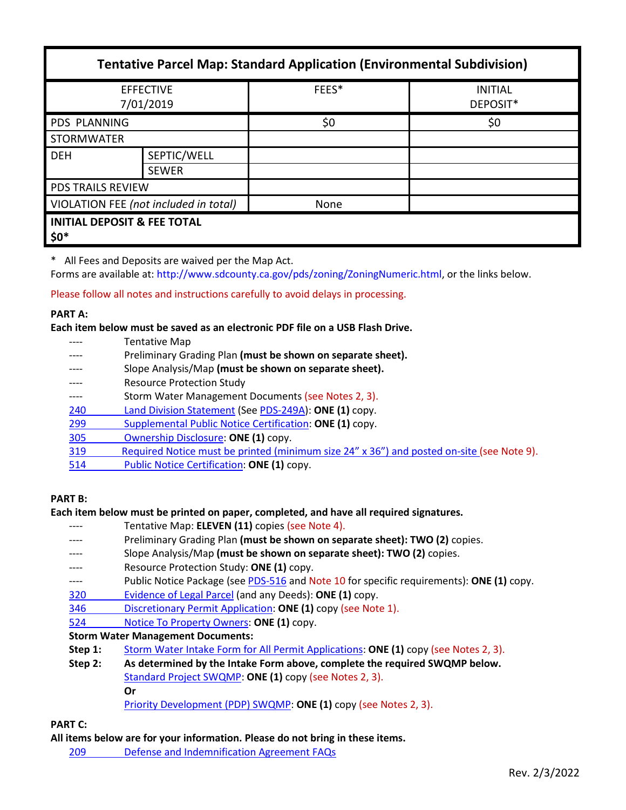| <b>Tentative Parcel Map: Standard Application (Environmental Subdivision)</b> |                             |       |                            |  |
|-------------------------------------------------------------------------------|-----------------------------|-------|----------------------------|--|
| <b>EFFECTIVE</b><br>7/01/2019                                                 |                             | FEES* | <b>INITIAL</b><br>DEPOSIT* |  |
| <b>PDS PLANNING</b>                                                           |                             | \$0   | \$0                        |  |
| <b>STORMWATER</b>                                                             |                             |       |                            |  |
| <b>DEH</b>                                                                    | SEPTIC/WELL<br><b>SEWER</b> |       |                            |  |
| <b>PDS TRAILS REVIEW</b>                                                      |                             |       |                            |  |
| VIOLATION FEE (not included in total)                                         |                             | None  |                            |  |
| <b>INITIAL DEPOSIT &amp; FEE TOTAL</b><br>$$0^*$                              |                             |       |                            |  |

\* All Fees and Deposits are waived per the Map Act.

Forms are available at: [http://www.sdcounty.ca.gov/pds/zoning/ZoningNumeric.html,](http://www.sdcounty.ca.gov/pds/zoning/ZoningNumeric.html) or the links below.

Please follow all notes and instructions carefully to avoid delays in processing.

#### **PART A:**

**Each item below must be saved as an electronic PDF file on a USB Flash Drive.**

- ---- Tentative Map
- ---- Preliminary Grading Plan **(must be shown on separate sheet).**
- ---- Slope Analysis/Map **(must be shown on separate sheet).**
- Resource Protection Study
- ---- Storm Water Management Documents (see Notes 2, 3).
- 240 [Land Division](http://www.sdcounty.ca.gov/pds/zoning/formfields/PDS-PLN-240.pdf) Statement (See [PDS-249A\)](http://www.sdcounty.ca.gov/pds/zoning/formfields/PDS-PLN-249A.pdf): **ONE (1)** copy.
- 299 [Supplemental Public Notice Certification:](http://www.sdcounty.ca.gov/pds/zoning/formfields/PDS-PLN-299.pdf) **ONE (1)** copy.
- [305 Ownership Disclosure:](http://www.sdcounty.ca.gov/pds/zoning/formfields/PDS-PLN-305.pdf) **ONE (1)** copy.
- [319 Required Notice must be printed \(minimum size 24" x 36"\) and posted on-site](https://www.sandiegocounty.gov/content/dam/sdc/pds/zoning/formfields/PDS-PLN-319.pdf) (see Note 9).
- 514 [Public Notice Certification:](http://www.sdcounty.ca.gov/pds/zoning/formfields/PDS-PLN-514.pdf) **ONE (1)** copy.

# **PART B:**

**Each item below must be printed on paper, completed, and have all required signatures.**

- ---- Tentative Map: **ELEVEN (11)** copies (see Note 4).
- Preliminary Grading Plan (must be shown on separate sheet): **TWO** (2) copies.
- ---- Slope Analysis/Map **(must be shown on separate sheet): TWO (2)** copies.
- Resource Protection Study: ONE (1) copy.
- ---- Public Notice Package (se[e PDS-516](http://www.sdcounty.ca.gov/pds/zoning/formfields/PDS-PLN-516.pdf) and Note 10 for specific requirements): **ONE (1)** copy.
- [320 Evidence of Legal Parcel](http://www.sdcounty.ca.gov/pds/zoning/formfields/PDS-PLN-320.pdf) (and any Deeds): **ONE (1)** copy.
- 346 [Discretionary Permit Application:](http://www.sdcounty.ca.gov/pds/zoning/formfields/PDS-PLN-346.pdf) **ONE (1)** copy (see Note 1).
- 524 [Notice To Property Owners:](http://www.sdcounty.ca.gov/pds/zoning/formfields/PDS-PLN-524.pdf) **ONE (1)** copy.

# **Storm Water Management Documents:**

- **Step 1:** [Storm Water Intake Form for All Permit Applications:](http://www.sandiegocounty.gov/content/dam/sdc/pds/zoning/formfields/SWQMP-Intake-Form.pdf) **ONE (1)** copy (see Notes 2, 3).
- **Step 2: As determined by the Intake Form above, complete the required SWQMP below.** [Standard Project SWQMP:](http://www.sandiegocounty.gov/content/dam/sdc/pds/zoning/formfields/SWQMP-Standard.pdf) **ONE (1)** copy (see Notes 2, 3).

#### **Or**

[Priority Development \(PDP\) SWQMP:](https://www.sandiegocounty.gov/content/sdc/dpw/watersheds/DevelopmentandConstruction/BMP_Design_Manual.html) **ONE (1)** copy (see Notes 2, 3).

# **PART C:**

**All items below are for your information. Please do not bring in these items.**

209 [Defense and Indemnification Agreement FAQs](http://www.sdcounty.ca.gov/pds/zoning/formfields/PDS-PLN-209.pdf)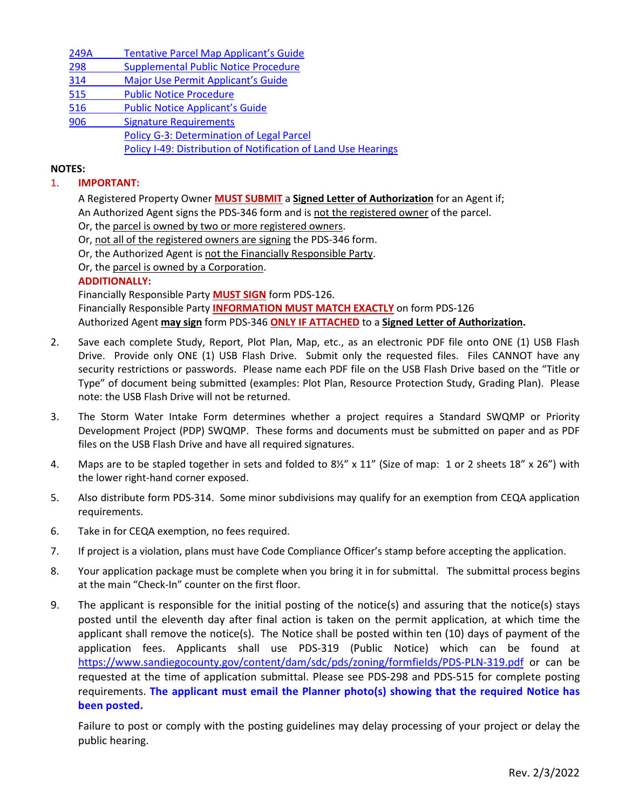| 249A | <b>Tentative Parcel Map Applicant's Guide</b>                  |  |  |
|------|----------------------------------------------------------------|--|--|
| 298  | <b>Supplemental Public Notice Procedure</b>                    |  |  |
| 314  | Major Use Permit Applicant's Guide                             |  |  |
| 515  | <b>Public Notice Procedure</b>                                 |  |  |
| 516  | <b>Public Notice Applicant's Guide</b>                         |  |  |
| 906  | <b>Signature Requirements</b>                                  |  |  |
|      | <b>Policy G-3: Determination of Legal Parcel</b>               |  |  |
|      | Policy I-49: Distribution of Notification of Land Use Hearings |  |  |
|      |                                                                |  |  |

### **NOTES:**

### 1. **IMPORTANT:**

A Registered Property Owner **MUST SUBMIT** a **Signed Letter of Authorization** for an Agent if;

An Authorized Agent signs the PDS-346 form and is not the registered owner of the parcel.

Or, the parcel is owned by two or more registered owners.

Or, not all of the registered owners are signing the PDS-346 form. Or, the Authorized Agent is not the Financially Responsible Party.

Or, the parcel is owned by a Corporation.

# **ADDITIONALLY:**

Financially Responsible Party **MUST SIGN** form PDS-126.

Financially Responsible Party **INFORMATION MUST MATCH EXACTLY** on form PDS-126 Authorized Agent **may sign** form PDS-346 **ONLY IF ATTACHED** to a **Signed Letter of Authorization.**

- 2. Save each complete Study, Report, Plot Plan, Map, etc., as an electronic PDF file onto ONE (1) USB Flash Drive. Provide only ONE (1) USB Flash Drive. Submit only the requested files. Files CANNOT have any security restrictions or passwords. Please name each PDF file on the USB Flash Drive based on the "Title or Type" of document being submitted (examples: Plot Plan, Resource Protection Study, Grading Plan). Please note: the USB Flash Drive will not be returned.
- 3. The Storm Water Intake Form determines whether a project requires a Standard SWQMP or Priority Development Project (PDP) SWQMP. These forms and documents must be submitted on paper and as PDF files on the USB Flash Drive and have all required signatures.
- 4. Maps are to be stapled together in sets and folded to 8½" x 11" (Size of map: 1 or 2 sheets 18" x 26") with the lower right-hand corner exposed.
- 5. Also distribute form PDS-314. Some minor subdivisions may qualify for an exemption from CEQA application requirements.
- 6. Take in for CEQA exemption, no fees required.
- 7. If project is a violation, plans must have Code Compliance Officer's stamp before accepting the application.
- 8. Your application package must be complete when you bring it in for submittal. The submittal process begins at the main "Check-In" counter on the first floor.
- 9. The applicant is responsible for the initial posting of the notice(s) and assuring that the notice(s) stays posted until the eleventh day after final action is taken on the permit application, at which time the applicant shall remove the notice(s). The Notice shall be posted within ten (10) days of payment of the application fees. Applicants shall use PDS-319 (Public Notice) which can be found at <https://www.sandiegocounty.gov/content/dam/sdc/pds/zoning/formfields/PDS-PLN-319.pdf> or can be requested at the time of application submittal. Please see PDS-298 and PDS-515 for complete posting requirements. **The applicant must email the Planner photo(s) showing that the required Notice has been posted.**

Failure to post or comply with the posting guidelines may delay processing of your project or delay the public hearing.